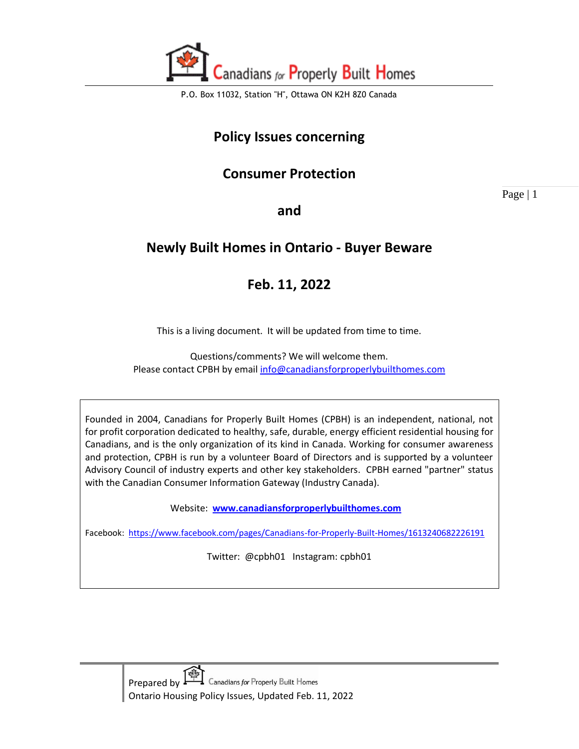

## **Policy Issues concerning**

## **Consumer Protection**

Page | 1

**and** 

## **Newly Built Homes in Ontario - Buyer Beware**

# **Feb. 11, 2022**

This is a living document. It will be updated from time to time.

Questions/comments? We will welcome them. Please contact CPBH by email [info@canadiansforproperlybuilthomes.com](mailto:info@canadiansforproperlybuilthomes.com)

Founded in 2004, Canadians for Properly Built Homes (CPBH) is an independent, national, not for profit corporation dedicated to healthy, safe, durable, energy efficient residential housing for Canadians, and is the only organization of its kind in Canada. Working for consumer awareness and protection, CPBH is run by a volunteer Board of Directors and is supported by a volunteer Advisory Council of industry experts and other key stakeholders. CPBH earned "partner" status with the Canadian Consumer Information Gateway (Industry Canada).

Website: **[www.canadiansforproperlybuilthomes.com](http://www.canadiansforproperlybuilthomes.com/)**

Facebook: <https://www.facebook.com/pages/Canadians-for-Properly-Built-Homes/1613240682226191>

Twitter: @cpbh01 Instagram: cpbh01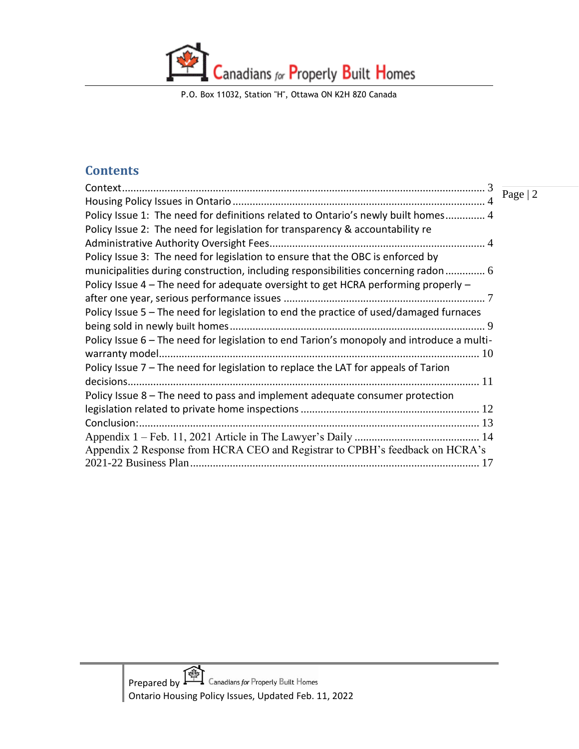P.O. Box 11032, Station "H", Ottawa ON K2H 8Z0 Canada

#### **Contents**

| Context                                                                                   |           |
|-------------------------------------------------------------------------------------------|-----------|
|                                                                                           | Page $ 2$ |
| Policy Issue 1: The need for definitions related to Ontario's newly built homes 4         |           |
| Policy Issue 2: The need for legislation for transparency & accountability re             |           |
|                                                                                           |           |
| Policy Issue 3: The need for legislation to ensure that the OBC is enforced by            |           |
| municipalities during construction, including responsibilities concerning radon  6        |           |
| Policy Issue 4 - The need for adequate oversight to get HCRA performing properly -        |           |
|                                                                                           |           |
| Policy Issue 5 - The need for legislation to end the practice of used/damaged furnaces    |           |
|                                                                                           |           |
| Policy Issue 6 - The need for legislation to end Tarion's monopoly and introduce a multi- |           |
| warranty model.                                                                           |           |
| Policy Issue 7 - The need for legislation to replace the LAT for appeals of Tarion        |           |
|                                                                                           |           |
| Policy Issue 8 – The need to pass and implement adequate consumer protection              |           |
|                                                                                           |           |
| Conclusion:.                                                                              |           |
|                                                                                           |           |
| Appendix 2 Response from HCRA CEO and Registrar to CPBH's feedback on HCRA's              |           |
|                                                                                           |           |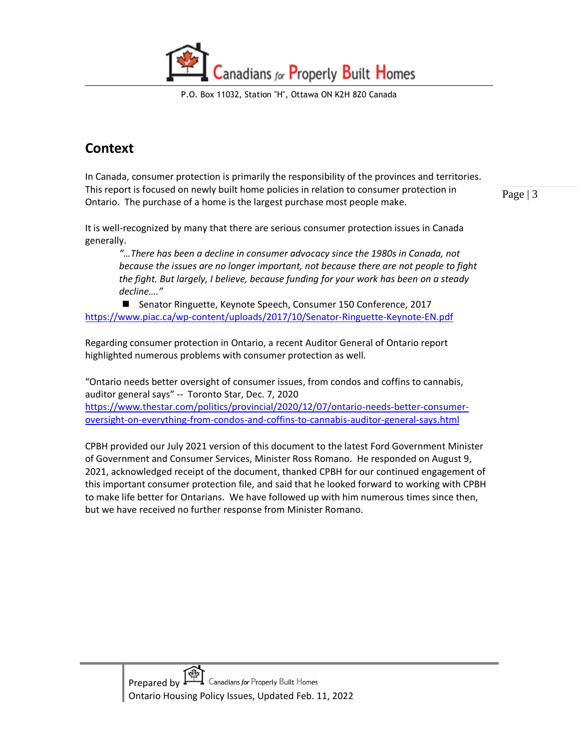P.O. Box 11032, Station "H", Ottawa ON K2H 8Z0 Canada

# <span id="page-2-0"></span>**Context**

In Canada, consumer protection is primarily the responsibility of the provinces and territories. This report is focused on newly built home policies in relation to consumer protection in Ontario. The purchase of a home is the largest purchase most people make.

Page | 3

It is well-recognized by many that there are serious consumer protection issues in Canada generally.

*"…There has been a decline in consumer advocacy since the 1980s in Canada, not because the issues are no longer important, not because there are not people to fight the fight. But largely, I believe, because funding for your work has been on a steady decline…."* 

■ Senator Ringuette, Keynote Speech, Consumer 150 Conference, 2017 <https://www.piac.ca/wp-content/uploads/2017/10/Senator-Ringuette-Keynote-EN.pdf>

Regarding consumer protection in Ontario, a recent Auditor General of Ontario report highlighted numerous problems with consumer protection as well.

"Ontario needs better oversight of consumer issues, from condos and coffins to cannabis, auditor general says" -- Toronto Star, Dec. 7, 2020 [https://www.thestar.com/politics/provincial/2020/12/07/ontario-needs-better-consumer-](https://www.thestar.com/politics/provincial/2020/12/07/ontario-needs-better-consumer-oversight-on-everything-from-condos-and-coffins-to-cannabis-auditor-general-says.html)

[oversight-on-everything-from-condos-and-coffins-to-cannabis-auditor-general-says.html](https://www.thestar.com/politics/provincial/2020/12/07/ontario-needs-better-consumer-oversight-on-everything-from-condos-and-coffins-to-cannabis-auditor-general-says.html)

CPBH provided our July 2021 version of this document to the latest Ford Government Minister of Government and Consumer Services, Minister Ross Romano. He responded on August 9, 2021, acknowledged receipt of the document, thanked CPBH for our continued engagement of this important consumer protection file, and said that he looked forward to working with CPBH to make life better for Ontarians. We have followed up with him numerous times since then, but we have received no further response from Minister Romano.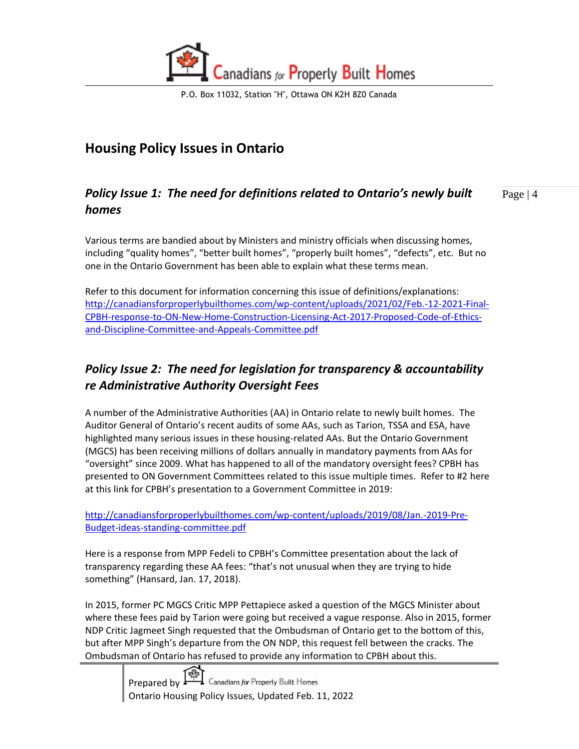

# <span id="page-3-0"></span>**Housing Policy Issues in Ontario**

#### <span id="page-3-1"></span>Page | 4 *Policy Issue 1: The need for definitions related to Ontario's newly built homes*

Various terms are bandied about by Ministers and ministry officials when discussing homes, including "quality homes", "better built homes", "properly built homes", "defects", etc. But no one in the Ontario Government has been able to explain what these terms mean.

Refer to this document for information concerning this issue of definitions/explanations: [http://canadiansforproperlybuilthomes.com/wp-content/uploads/2021/02/Feb.-12-2021-Final-](http://canadiansforproperlybuilthomes.com/wp-content/uploads/2021/02/Feb.-12-2021-Final-CPBH-response-to-ON-New-Home-Construction-Licensing-Act-2017-Proposed-Code-of-Ethics-and-Discipline-Committee-and-Appeals-Committee.pdf)[CPBH-response-to-ON-New-Home-Construction-Licensing-Act-2017-Proposed-Code-of-Ethics](http://canadiansforproperlybuilthomes.com/wp-content/uploads/2021/02/Feb.-12-2021-Final-CPBH-response-to-ON-New-Home-Construction-Licensing-Act-2017-Proposed-Code-of-Ethics-and-Discipline-Committee-and-Appeals-Committee.pdf)[and-Discipline-Committee-and-Appeals-Committee.pdf](http://canadiansforproperlybuilthomes.com/wp-content/uploads/2021/02/Feb.-12-2021-Final-CPBH-response-to-ON-New-Home-Construction-Licensing-Act-2017-Proposed-Code-of-Ethics-and-Discipline-Committee-and-Appeals-Committee.pdf)

#### <span id="page-3-2"></span>*Policy Issue 2: The need for legislation for transparency & accountability re Administrative Authority Oversight Fees*

A number of the Administrative Authorities (AA) in Ontario relate to newly built homes. The Auditor General of Ontario's recent audits of some AAs, such as Tarion, TSSA and ESA, have highlighted many serious issues in these housing-related AAs. But the Ontario Government (MGCS) has been receiving millions of dollars annually in mandatory payments from AAs for "oversight" since 2009. What has happened to all of the mandatory oversight fees? CPBH has presented to ON Government Committees related to this issue multiple times. Refer to #2 here at this link for CPBH's presentation to a Government Committee in 2019:

[http://canadiansforproperlybuilthomes.com/wp-content/uploads/2019/08/Jan.-2019-Pre-](http://canadiansforproperlybuilthomes.com/wp-content/uploads/2019/08/Jan.-2019-Pre-Budget-ideas-standing-committee.pdf)[Budget-ideas-standing-committee.pdf](http://canadiansforproperlybuilthomes.com/wp-content/uploads/2019/08/Jan.-2019-Pre-Budget-ideas-standing-committee.pdf)

Here is a response from MPP Fedeli to CPBH's Committee presentation about the lack of transparency regarding these AA fees: "that's not unusual when they are trying to hide something" (Hansard, Jan. 17, 2018).

In 2015, former PC MGCS Critic MPP Pettapiece asked a question of the MGCS Minister about where these fees paid by Tarion were going but received a vague response. Also in 2015, former NDP Critic Jagmeet Singh requested that the Ombudsman of Ontario get to the bottom of this, but after MPP Singh's departure from the ON NDP, this request fell between the cracks. The Ombudsman of Ontario has refused to provide any information to CPBH about this.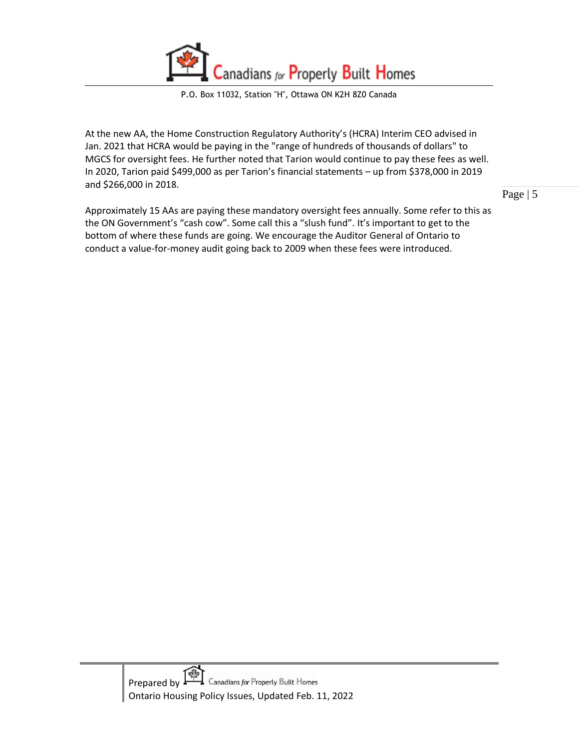

At the new AA, the Home Construction Regulatory Authority's (HCRA) Interim CEO advised in Jan. 2021 that HCRA would be paying in the "range of hundreds of thousands of dollars" to MGCS for oversight fees. He further noted that Tarion would continue to pay these fees as well. In 2020, Tarion paid \$499,000 as per Tarion's financial statements – up from \$378,000 in 2019 and \$266,000 in 2018.

Approximately 15 AAs are paying these mandatory oversight fees annually. Some refer to this as the ON Government's "cash cow". Some call this a "slush fund". It's important to get to the bottom of where these funds are going. We encourage the Auditor General of Ontario to conduct a value-for-money audit going back to 2009 when these fees were introduced.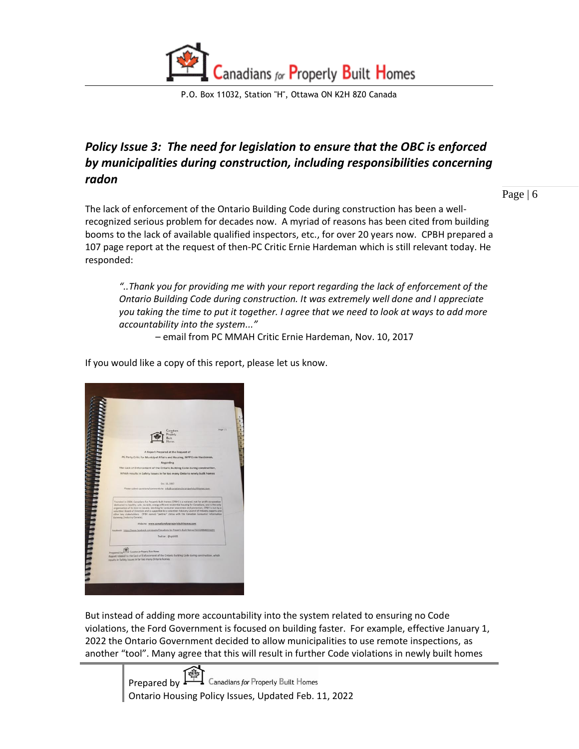

#### <span id="page-5-0"></span>*Policy Issue 3: The need for legislation to ensure that the OBC is enforced by municipalities during construction, including responsibilities concerning radon*

Page | 6

The lack of enforcement of the Ontario Building Code during construction has been a wellrecognized serious problem for decades now. A myriad of reasons has been cited from building booms to the lack of available qualified inspectors, etc., for over 20 years now. CPBH prepared a 107 page report at the request of then-PC Critic Ernie Hardeman which is still relevant today. He responded:

*"..Thank you for providing me with your report regarding the lack of enforcement of the Ontario Building Code during construction. It was extremely well done and I appreciate you taking the time to put it together. I agree that we need to look at ways to add more accountability into the system..."*

– email from PC MMAH Critic Ernie Hardeman, Nov. 10, 2017

If you would like a copy of this report, please let us know.



But instead of adding more accountability into the system related to ensuring no Code violations, the Ford Government is focused on building faster. For example, effective January 1, 2022 the Ontario Government decided to allow municipalities to use remote inspections, as another "tool". Many agree that this will result in further Code violations in newly built homes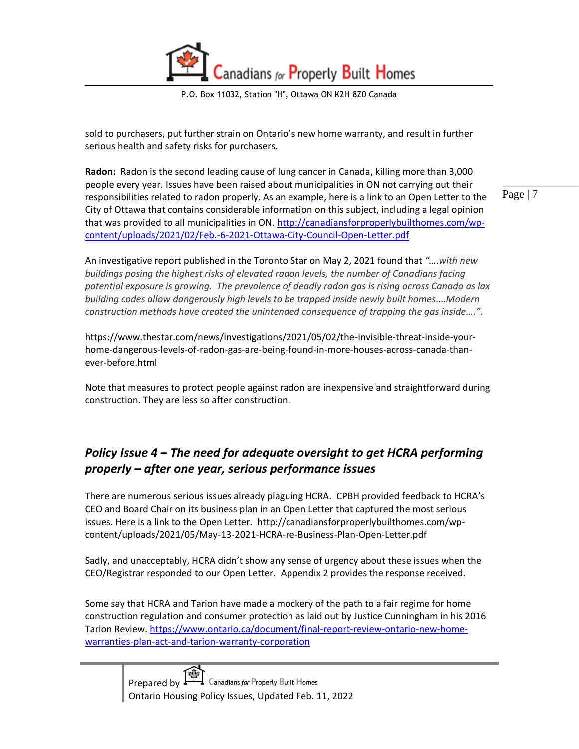

sold to purchasers, put further strain on Ontario's new home warranty, and result in further serious health and safety risks for purchasers.

Page | 7 **Radon:** Radon is the second leading cause of lung cancer in Canada, killing more than 3,000 people every year. Issues have been raised about municipalities in ON not carrying out their responsibilities related to radon properly. As an example, here is a link to an Open Letter to the City of Ottawa that contains considerable information on this subject, including a legal opinion that was provided to all municipalities in ON. [http://canadiansforproperlybuilthomes.com/wp](http://canadiansforproperlybuilthomes.com/wp-content/uploads/2021/02/Feb.-6-2021-Ottawa-City-Council-Open-Letter.pdf)[content/uploads/2021/02/Feb.-6-2021-Ottawa-City-Council-Open-Letter.pdf](http://canadiansforproperlybuilthomes.com/wp-content/uploads/2021/02/Feb.-6-2021-Ottawa-City-Council-Open-Letter.pdf)

An investigative report published in the Toronto Star on May 2, 2021 found that *"….with new buildings posing the highest risks of elevated radon levels, the number of Canadians facing potential exposure is growing. The prevalence of deadly radon gas is rising across Canada as lax building codes allow dangerously high levels to be trapped inside newly built homes.…Modern construction methods have created the unintended consequence of trapping the gas inside….".*

https://www.thestar.com/news/investigations/2021/05/02/the-invisible-threat-inside-yourhome-dangerous-levels-of-radon-gas-are-being-found-in-more-houses-across-canada-thanever-before.html

Note that measures to protect people against radon are inexpensive and straightforward during construction. They are less so after construction.

#### <span id="page-6-0"></span>*Policy Issue 4 – The need for adequate oversight to get HCRA performing properly – after one year, serious performance issues*

There are numerous serious issues already plaguing HCRA. CPBH provided feedback to HCRA's CEO and Board Chair on its business plan in an Open Letter that captured the most serious issues. Here is a link to the Open Letter. http://canadiansforproperlybuilthomes.com/wpcontent/uploads/2021/05/May-13-2021-HCRA-re-Business-Plan-Open-Letter.pdf

Sadly, and unacceptably, HCRA didn't show any sense of urgency about these issues when the CEO/Registrar responded to our Open Letter. Appendix 2 provides the response received.

Some say that HCRA and Tarion have made a mockery of the path to a fair regime for home construction regulation and consumer protection as laid out by Justice Cunningham in his 2016 Tarion Review. [https://www.ontario.ca/document/final-report-review-ontario-new-home](https://www.ontario.ca/document/final-report-review-ontario-new-home-warranties-plan-act-and-tarion-warranty-corporation)[warranties-plan-act-and-tarion-warranty-corporation](https://www.ontario.ca/document/final-report-review-ontario-new-home-warranties-plan-act-and-tarion-warranty-corporation)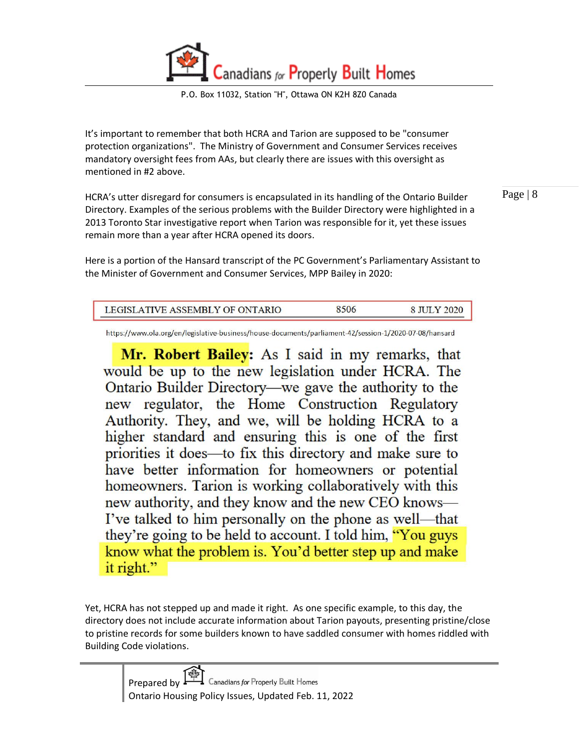

It's important to remember that both HCRA and Tarion are supposed to be "consumer protection organizations". The Ministry of Government and Consumer Services receives mandatory oversight fees from AAs, but clearly there are issues with this oversight as mentioned in #2 above.

HCRA's utter disregard for consumers is encapsulated in its handling of the Ontario Builder Directory. Examples of the serious problems with the Builder Directory were highlighted in a 2013 Toronto Star investigative report when Tarion was responsible for it, yet these issues remain more than a year after HCRA opened its doors.

Here is a portion of the Hansard transcript of the PC Government's Parliamentary Assistant to the Minister of Government and Consumer Services, MPP Bailey in 2020:

| . |
|---|
|   |

https://www.ola.org/en/legislative-business/house-documents/parliament-42/session-1/2020-07-08/hansard

Mr. Robert Bailey: As I said in my remarks, that would be up to the new legislation under HCRA. The Ontario Builder Directory—we gave the authority to the new regulator, the Home Construction Regulatory Authority. They, and we, will be holding HCRA to a higher standard and ensuring this is one of the first priorities it does—to fix this directory and make sure to have better information for homeowners or potential homeowners. Tarion is working collaboratively with this new authority, and they know and the new CEO knows— I've talked to him personally on the phone as well—that they're going to be held to account. I told him, "You guys" know what the problem is. You'd better step up and make it right."

Yet, HCRA has not stepped up and made it right. As one specific example, to this day, the directory does not include accurate information about Tarion payouts, presenting pristine/close to pristine records for some builders known to have saddled consumer with homes riddled with Building Code violations.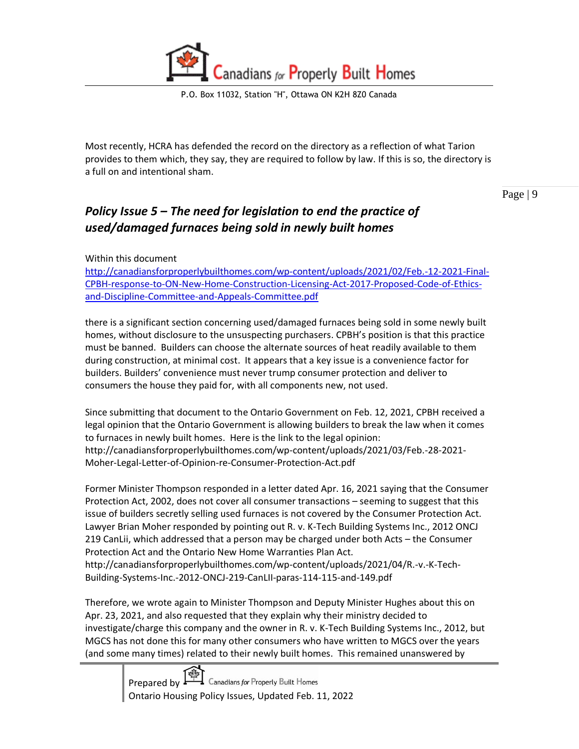

Most recently, HCRA has defended the record on the directory as a reflection of what Tarion provides to them which, they say, they are required to follow by law. If this is so, the directory is a full on and intentional sham.

Page | 9

#### <span id="page-8-0"></span>*Policy Issue 5 – The need for legislation to end the practice of used/damaged furnaces being sold in newly built homes*

Within this document

[http://canadiansforproperlybuilthomes.com/wp-content/uploads/2021/02/Feb.-12-2021-Final-](http://canadiansforproperlybuilthomes.com/wp-content/uploads/2021/02/Feb.-12-2021-Final-CPBH-response-to-ON-New-Home-Construction-Licensing-Act-2017-Proposed-Code-of-Ethics-and-Discipline-Committee-and-Appeals-Committee.pdf)[CPBH-response-to-ON-New-Home-Construction-Licensing-Act-2017-Proposed-Code-of-Ethics](http://canadiansforproperlybuilthomes.com/wp-content/uploads/2021/02/Feb.-12-2021-Final-CPBH-response-to-ON-New-Home-Construction-Licensing-Act-2017-Proposed-Code-of-Ethics-and-Discipline-Committee-and-Appeals-Committee.pdf)[and-Discipline-Committee-and-Appeals-Committee.pdf](http://canadiansforproperlybuilthomes.com/wp-content/uploads/2021/02/Feb.-12-2021-Final-CPBH-response-to-ON-New-Home-Construction-Licensing-Act-2017-Proposed-Code-of-Ethics-and-Discipline-Committee-and-Appeals-Committee.pdf)

there is a significant section concerning used/damaged furnaces being sold in some newly built homes, without disclosure to the unsuspecting purchasers. CPBH's position is that this practice must be banned. Builders can choose the alternate sources of heat readily available to them during construction, at minimal cost. It appears that a key issue is a convenience factor for builders. Builders' convenience must never trump consumer protection and deliver to consumers the house they paid for, with all components new, not used.

Since submitting that document to the Ontario Government on Feb. 12, 2021, CPBH received a legal opinion that the Ontario Government is allowing builders to break the law when it comes to furnaces in newly built homes. Here is the link to the legal opinion: http://canadiansforproperlybuilthomes.com/wp-content/uploads/2021/03/Feb.-28-2021- Moher-Legal-Letter-of-Opinion-re-Consumer-Protection-Act.pdf

Former Minister Thompson responded in a letter dated Apr. 16, 2021 saying that the Consumer Protection Act, 2002, does not cover all consumer transactions – seeming to suggest that this issue of builders secretly selling used furnaces is not covered by the Consumer Protection Act. Lawyer Brian Moher responded by pointing out R. v. K-Tech Building Systems Inc., 2012 ONCJ 219 CanLii, which addressed that a person may be charged under both Acts – the Consumer Protection Act and the Ontario New Home Warranties Plan Act. http://canadiansforproperlybuilthomes.com/wp-content/uploads/2021/04/R.-v.-K-Tech-Building-Systems-Inc.-2012-ONCJ-219-CanLII-paras-114-115-and-149.pdf

Therefore, we wrote again to Minister Thompson and Deputy Minister Hughes about this on Apr. 23, 2021, and also requested that they explain why their ministry decided to investigate/charge this company and the owner in R. v. K-Tech Building Systems Inc., 2012, but MGCS has not done this for many other consumers who have written to MGCS over the years (and some many times) related to their newly built homes. This remained unanswered by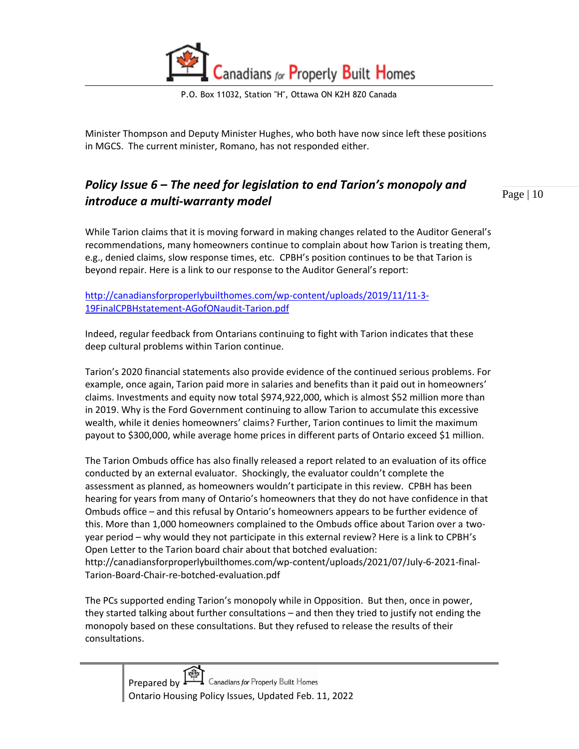

Minister Thompson and Deputy Minister Hughes, who both have now since left these positions in MGCS. The current minister, Romano, has not responded either.

#### <span id="page-9-0"></span>*Policy Issue 6 – The need for legislation to end Tarion's monopoly and introduce a multi-warranty model*

Page | 10

While Tarion claims that it is moving forward in making changes related to the Auditor General's recommendations, many homeowners continue to complain about how Tarion is treating them, e.g., denied claims, slow response times, etc. CPBH's position continues to be that Tarion is beyond repair. Here is a link to our response to the Auditor General's report:

[http://canadiansforproperlybuilthomes.com/wp-content/uploads/2019/11/11-3-](http://canadiansforproperlybuilthomes.com/wp-content/uploads/2019/11/11-3-19FinalCPBHstatement-AGofONaudit-Tarion.pdf) [19FinalCPBHstatement-AGofONaudit-Tarion.pdf](http://canadiansforproperlybuilthomes.com/wp-content/uploads/2019/11/11-3-19FinalCPBHstatement-AGofONaudit-Tarion.pdf)

Indeed, regular feedback from Ontarians continuing to fight with Tarion indicates that these deep cultural problems within Tarion continue.

Tarion's 2020 financial statements also provide evidence of the continued serious problems. For example, once again, Tarion paid more in salaries and benefits than it paid out in homeowners' claims. Investments and equity now total \$974,922,000, which is almost \$52 million more than in 2019. Why is the Ford Government continuing to allow Tarion to accumulate this excessive wealth, while it denies homeowners' claims? Further, Tarion continues to limit the maximum payout to \$300,000, while average home prices in different parts of Ontario exceed \$1 million.

The Tarion Ombuds office has also finally released a report related to an evaluation of its office conducted by an external evaluator. Shockingly, the evaluator couldn't complete the assessment as planned, as homeowners wouldn't participate in this review. CPBH has been hearing for years from many of Ontario's homeowners that they do not have confidence in that Ombuds office – and this refusal by Ontario's homeowners appears to be further evidence of this. More than 1,000 homeowners complained to the Ombuds office about Tarion over a twoyear period – why would they not participate in this external review? Here is a link to CPBH's Open Letter to the Tarion board chair about that botched evaluation: http://canadiansforproperlybuilthomes.com/wp-content/uploads/2021/07/July-6-2021-final-Tarion-Board-Chair-re-botched-evaluation.pdf

The PCs supported ending Tarion's monopoly while in Opposition. But then, once in power, they started talking about further consultations – and then they tried to justify not ending the monopoly based on these consultations. But they refused to release the results of their consultations.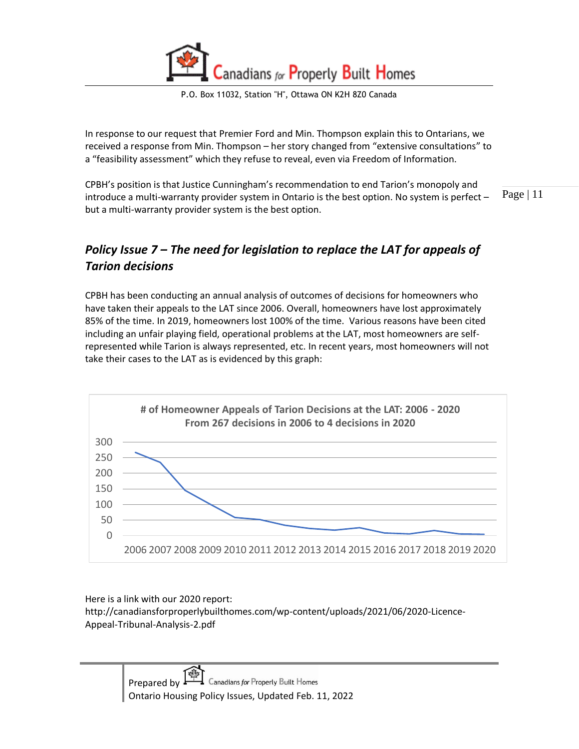P.O. Box 11032, Station "H", Ottawa ON K2H 8Z0 Canada

In response to our request that Premier Ford and Min. Thompson explain this to Ontarians, we received a response from Min. Thompson – her story changed from "extensive consultations" to a "feasibility assessment" which they refuse to reveal, even via Freedom of Information.

Page | 11 CPBH's position is that Justice Cunningham's recommendation to end Tarion's monopoly and introduce a multi-warranty provider system in Ontario is the best option. No system is perfect – but a multi-warranty provider system is the best option.

#### <span id="page-10-0"></span>*Policy Issue 7 – The need for legislation to replace the LAT for appeals of Tarion decisions*

CPBH has been conducting an annual analysis of outcomes of decisions for homeowners who have taken their appeals to the LAT since 2006. Overall, homeowners have lost approximately 85% of the time. In 2019, homeowners lost 100% of the time. Various reasons have been cited including an unfair playing field, operational problems at the LAT, most homeowners are selfrepresented while Tarion is always represented, etc. In recent years, most homeowners will not take their cases to the LAT as is evidenced by this graph:



Here is a link with our 2020 report: http://canadiansforproperlybuilthomes.com/wp-content/uploads/2021/06/2020-Licence-Appeal-Tribunal-Analysis-2.pdf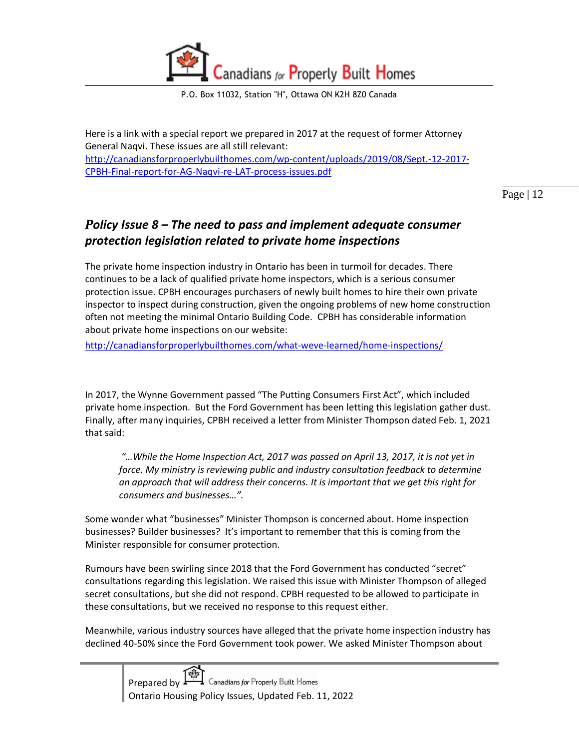

Here is a link with a special report we prepared in 2017 at the request of former Attorney General Naqvi. These issues are all still relevant: [http://canadiansforproperlybuilthomes.com/wp-content/uploads/2019/08/Sept.-12-2017-](http://canadiansforproperlybuilthomes.com/wp-content/uploads/2019/08/Sept.-12-2017-CPBH-Final-report-for-AG-Naqvi-re-LAT-process-issues.pdf) [CPBH-Final-report-for-AG-Naqvi-re-LAT-process-issues.pdf](http://canadiansforproperlybuilthomes.com/wp-content/uploads/2019/08/Sept.-12-2017-CPBH-Final-report-for-AG-Naqvi-re-LAT-process-issues.pdf)

Page | 12

#### <span id="page-11-0"></span>*Policy Issue 8 – The need to pass and implement adequate consumer protection legislation related to private home inspections*

The private home inspection industry in Ontario has been in turmoil for decades. There continues to be a lack of qualified private home inspectors, which is a serious consumer protection issue. CPBH encourages purchasers of newly built homes to hire their own private inspector to inspect during construction, given the ongoing problems of new home construction often not meeting the minimal Ontario Building Code. CPBH has considerable information about private home inspections on our website:

<http://canadiansforproperlybuilthomes.com/what-weve-learned/home-inspections/>

In 2017, the Wynne Government passed "The Putting Consumers First Act", which included private home inspection. But the Ford Government has been letting this legislation gather dust. Finally, after many inquiries, CPBH received a letter from Minister Thompson dated Feb. 1, 2021 that said:

*"…While the Home Inspection Act, 2017 was passed on April 13, 2017, it is not yet in force. My ministry is reviewing public and industry consultation feedback to determine an approach that will address their concerns. It is important that we get this right for consumers and businesses…".*

Some wonder what "businesses" Minister Thompson is concerned about. Home inspection businesses? Builder businesses? It's important to remember that this is coming from the Minister responsible for consumer protection.

Rumours have been swirling since 2018 that the Ford Government has conducted "secret" consultations regarding this legislation. We raised this issue with Minister Thompson of alleged secret consultations, but she did not respond. CPBH requested to be allowed to participate in these consultations, but we received no response to this request either.

Meanwhile, various industry sources have alleged that the private home inspection industry has declined 40-50% since the Ford Government took power. We asked Minister Thompson about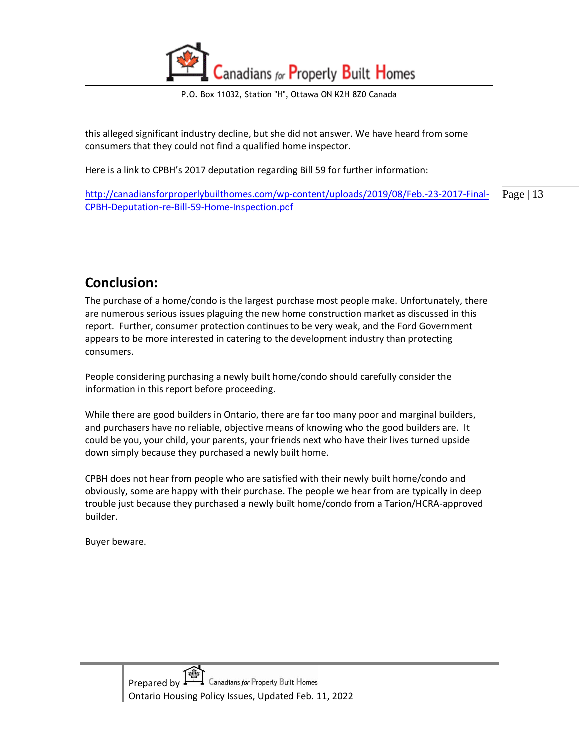P.O. Box 11032, Station "H", Ottawa ON K2H 8Z0 Canada

this alleged significant industry decline, but she did not answer. We have heard from some consumers that they could not find a qualified home inspector.

Here is a link to CPBH's 2017 deputation regarding Bill 59 for further information:

Page | 13 [http://canadiansforproperlybuilthomes.com/wp-content/uploads/2019/08/Feb.-23-2017-Final-](http://canadiansforproperlybuilthomes.com/wp-content/uploads/2019/08/Feb.-23-2017-Final-CPBH-Deputation-re-Bill-59-Home-Inspection.pdf)[CPBH-Deputation-re-Bill-59-Home-Inspection.pdf](http://canadiansforproperlybuilthomes.com/wp-content/uploads/2019/08/Feb.-23-2017-Final-CPBH-Deputation-re-Bill-59-Home-Inspection.pdf)

#### <span id="page-12-0"></span>**Conclusion:**

The purchase of a home/condo is the largest purchase most people make. Unfortunately, there are numerous serious issues plaguing the new home construction market as discussed in this report. Further, consumer protection continues to be very weak, and the Ford Government appears to be more interested in catering to the development industry than protecting consumers.

People considering purchasing a newly built home/condo should carefully consider the information in this report before proceeding.

While there are good builders in Ontario, there are far too many poor and marginal builders, and purchasers have no reliable, objective means of knowing who the good builders are. It could be you, your child, your parents, your friends next who have their lives turned upside down simply because they purchased a newly built home.

CPBH does not hear from people who are satisfied with their newly built home/condo and obviously, some are happy with their purchase. The people we hear from are typically in deep trouble just because they purchased a newly built home/condo from a Tarion/HCRA-approved builder.

Buyer beware.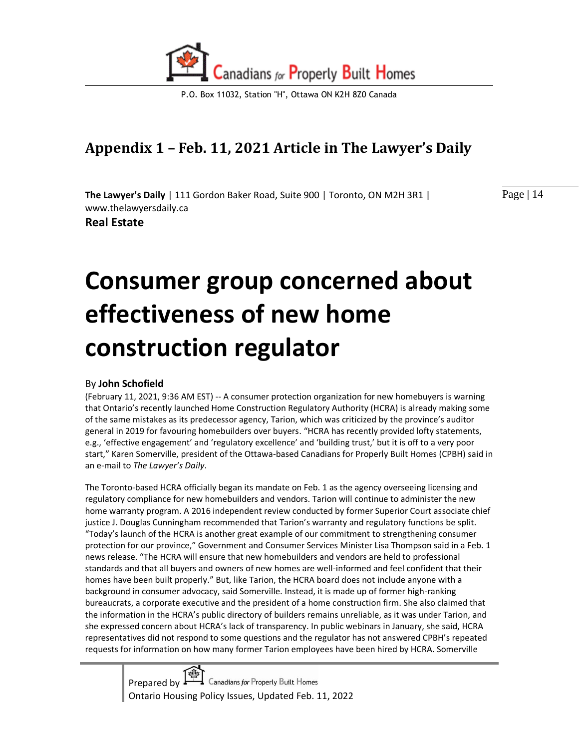

# <span id="page-13-0"></span>**Appendix 1 – Feb. 11, 2021 Article in The Lawyer's Daily**

**The Lawyer's Daily** | 111 Gordon Baker Road, Suite 900 | Toronto, ON M2H 3R1 | www.thelawyersdaily.ca

**Real Estate** 

Page | 14

# **Consumer group concerned about effectiveness of new home construction regulator**

#### By **John Schofield**

(February 11, 2021, 9:36 AM EST) -- A consumer protection organization for new homebuyers is warning that Ontario's recently launched Home Construction Regulatory Authority (HCRA) is already making some of the same mistakes as its predecessor agency, Tarion, which was criticized by the province's auditor general in 2019 for favouring homebuilders over buyers. "HCRA has recently provided lofty statements, e.g., 'effective engagement' and 'regulatory excellence' and 'building trust,' but it is off to a very poor start," Karen Somerville, president of the Ottawa-based Canadians for Properly Built Homes (CPBH) said in an e-mail to *The Lawyer's Daily*.

The Toronto-based HCRA officially began its mandate on Feb. 1 as the agency overseeing licensing and regulatory compliance for new homebuilders and vendors. Tarion will continue to administer the new home warranty program. A 2016 independent review conducted by former Superior Court associate chief justice J. Douglas Cunningham recommended that Tarion's warranty and regulatory functions be split. "Today's launch of the HCRA is another great example of our commitment to strengthening consumer protection for our province," Government and Consumer Services Minister Lisa Thompson said in a Feb. 1 news release. "The HCRA will ensure that new homebuilders and vendors are held to professional standards and that all buyers and owners of new homes are well-informed and feel confident that their homes have been built properly." But, like Tarion, the HCRA board does not include anyone with a background in consumer advocacy, said Somerville. Instead, it is made up of former high-ranking bureaucrats, a corporate executive and the president of a home construction firm. She also claimed that the information in the HCRA's public directory of builders remains unreliable, as it was under Tarion, and she expressed concern about HCRA's lack of transparency. In public webinars in January, she said, HCRA representatives did not respond to some questions and the regulator has not answered CPBH's repeated requests for information on how many former Tarion employees have been hired by HCRA. Somerville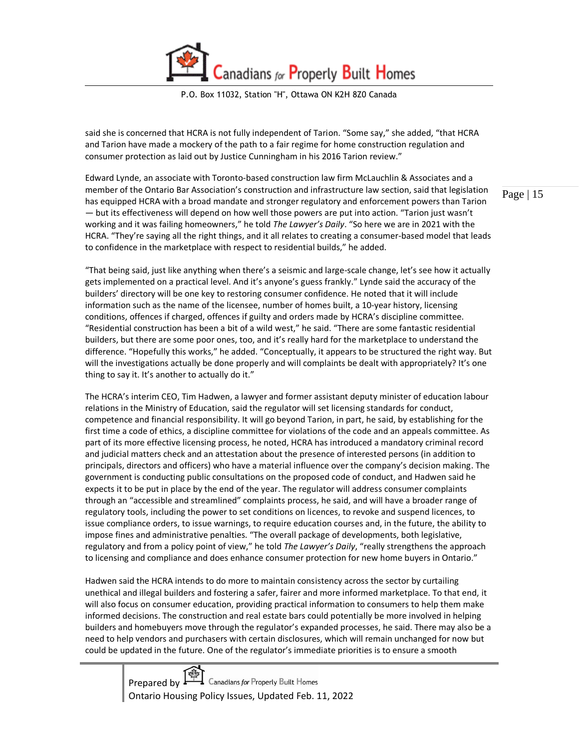P.O. Box 11032, Station "H", Ottawa ON K2H 8Z0 Canada

said she is concerned that HCRA is not fully independent of Tarion. "Some say," she added, "that HCRA and Tarion have made a mockery of the path to a fair regime for home construction regulation and consumer protection as laid out by Justice Cunningham in his 2016 Tarion review."

Edward Lynde, an associate with Toronto-based construction law firm McLauchlin & Associates and a member of the Ontario Bar Association's construction and infrastructure law section, said that legislation has equipped HCRA with a broad mandate and stronger regulatory and enforcement powers than Tarion — but its effectiveness will depend on how well those powers are put into action. "Tarion just wasn't working and it was failing homeowners," he told *The Lawyer's Daily*. "So here we are in 2021 with the HCRA. "They're saying all the right things, and it all relates to creating a consumer-based model that leads to confidence in the marketplace with respect to residential builds," he added.

"That being said, just like anything when there's a seismic and large-scale change, let's see how it actually gets implemented on a practical level. And it's anyone's guess frankly." Lynde said the accuracy of the builders' directory will be one key to restoring consumer confidence. He noted that it will include information such as the name of the licensee, number of homes built, a 10-year history, licensing conditions, offences if charged, offences if guilty and orders made by HCRA's discipline committee. "Residential construction has been a bit of a wild west," he said. "There are some fantastic residential builders, but there are some poor ones, too, and it's really hard for the marketplace to understand the difference. "Hopefully this works," he added. "Conceptually, it appears to be structured the right way. But will the investigations actually be done properly and will complaints be dealt with appropriately? It's one thing to say it. It's another to actually do it."

The HCRA's interim CEO, Tim Hadwen, a lawyer and former assistant deputy minister of education labour relations in the Ministry of Education, said the regulator will set licensing standards for conduct, competence and financial responsibility. It will go beyond Tarion, in part, he said, by establishing for the first time a code of ethics, a discipline committee for violations of the code and an appeals committee. As part of its more effective licensing process, he noted, HCRA has introduced a mandatory criminal record and judicial matters check and an attestation about the presence of interested persons (in addition to principals, directors and officers) who have a material influence over the company's decision making. The government is conducting public consultations on the proposed code of conduct, and Hadwen said he expects it to be put in place by the end of the year. The regulator will address consumer complaints through an "accessible and streamlined" complaints process, he said, and will have a broader range of regulatory tools, including the power to set conditions on licences, to revoke and suspend licences, to issue compliance orders, to issue warnings, to require education courses and, in the future, the ability to impose fines and administrative penalties. "The overall package of developments, both legislative, regulatory and from a policy point of view," he told *The Lawyer's Daily*, "really strengthens the approach to licensing and compliance and does enhance consumer protection for new home buyers in Ontario."

Hadwen said the HCRA intends to do more to maintain consistency across the sector by curtailing unethical and illegal builders and fostering a safer, fairer and more informed marketplace. To that end, it will also focus on consumer education, providing practical information to consumers to help them make informed decisions. The construction and real estate bars could potentially be more involved in helping builders and homebuyers move through the regulator's expanded processes, he said. There may also be a need to help vendors and purchasers with certain disclosures, which will remain unchanged for now but could be updated in the future. One of the regulator's immediate priorities is to ensure a smooth

Prepared by  $\overbrace{\phantom{H^{2}$  Canadians for Properly Built Homes Ontario Housing Policy Issues, Updated Feb. 11, 2022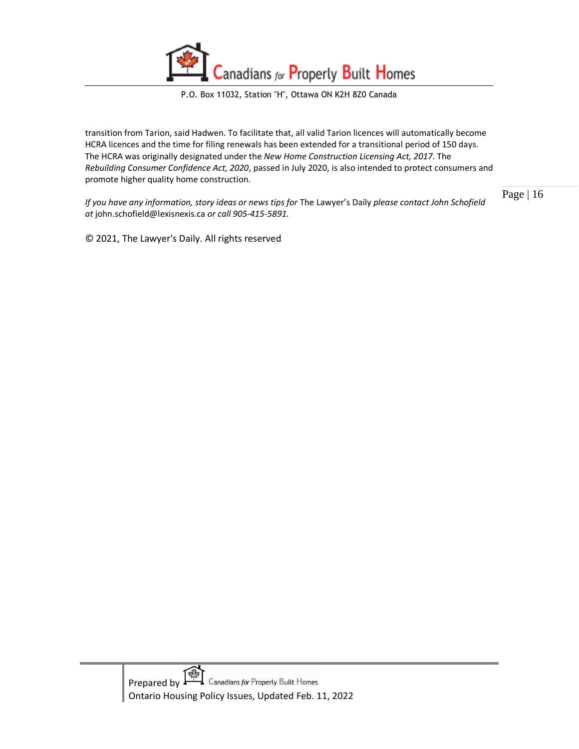

transition from Tarion, said Hadwen. To facilitate that, all valid Tarion licences will automatically become HCRA licences and the time for filing renewals has been extended for a transitional period of 150 days. The HCRA was originally designated under the *New Home Construction Licensing Act, 2017*. The *Rebuilding Consumer Confidence Act, 2020*, passed in July 2020, is also intended to protect consumers and promote higher quality home construction.

*If you have any information, story ideas or news tips for* The Lawyer's Daily *please contact John Schofield at* john.schofield@lexisnexis.ca *or call 905-415-5891.* 

© 2021, The Lawyer's Daily. All rights reserved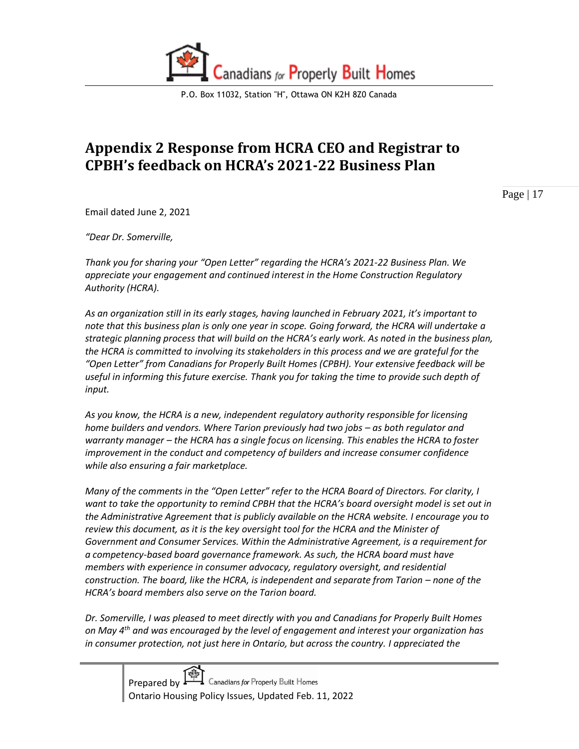

# <span id="page-16-0"></span>**Appendix 2 Response from HCRA CEO and Registrar to CPBH's feedback on HCRA's 2021-22 Business Plan**

Page | 17

Email dated June 2, 2021

*"Dear Dr. Somerville,*

*Thank you for sharing your "Open Letter" regarding the HCRA's 2021-22 Business Plan. We appreciate your engagement and continued interest in the Home Construction Regulatory Authority (HCRA).* 

*As an organization still in its early stages, having launched in February 2021, it's important to note that this business plan is only one year in scope. Going forward, the HCRA will undertake a strategic planning process that will build on the HCRA's early work. As noted in the business plan, the HCRA is committed to involving its stakeholders in this process and we are grateful for the "Open Letter" from Canadians for Properly Built Homes (CPBH). Your extensive feedback will be useful in informing this future exercise. Thank you for taking the time to provide such depth of input.* 

*As you know, the HCRA is a new, independent regulatory authority responsible for licensing home builders and vendors. Where Tarion previously had two jobs – as both regulator and warranty manager – the HCRA has a single focus on licensing. This enables the HCRA to foster improvement in the conduct and competency of builders and increase consumer confidence while also ensuring a fair marketplace.*

*Many of the comments in the "Open Letter" refer to the HCRA Board of Directors. For clarity, I want to take the opportunity to remind CPBH that the HCRA's board oversight model is set out in the Administrative Agreement that is publicly available on the HCRA website. I encourage you to review this document, as it is the key oversight tool for the HCRA and the Minister of Government and Consumer Services. Within the Administrative Agreement, is a requirement for a competency-based board governance framework. As such, the HCRA board must have members with experience in consumer advocacy, regulatory oversight, and residential construction. The board, like the HCRA, is independent and separate from Tarion – none of the HCRA's board members also serve on the Tarion board.*

*Dr. Somerville, I was pleased to meet directly with you and Canadians for Properly Built Homes on May 4th and was encouraged by the level of engagement and interest your organization has in consumer protection, not just here in Ontario, but across the country. I appreciated the*